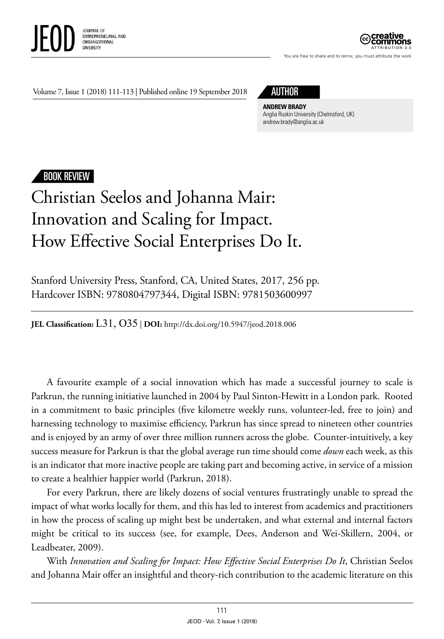



You are free to share and to remix, you must attribute the work

Volume 7, Issue 1 (2018) 111-113 | Published online 19 September 2018



**ANDREW BRADY** Anglia Ruskin University (Chelmsford, UK) [andrew.brady@anglia.ac.uk](mailto:andrew.brady@anglia.ac.uk)

## BOOK REVIEW

## Christian Seelos and Johanna Mair: Innovation and Scaling for Impact. How Effective Social Enterprises Do It.

Stanford University Press, Stanford, CA, United States, 2017, 256 pp. Hardcover ISBN: 9780804797344, Digital ISBN: 9781503600997

**JEL Classification:** L31, O35 | **DOI:** http://dx.doi.org/10.5947/jeod.2018.006

A favourite example of a social innovation which has made a successful journey to scale is Parkrun, the running initiative launched in 2004 by Paul Sinton-Hewitt in a London park. Rooted in a commitment to basic principles (five kilometre weekly runs, volunteer-led, free to join) and harnessing technology to maximise efficiency, Parkrun has since spread to nineteen other countries and is enjoyed by an army of over three million runners across the globe. Counter-intuitively, a key success measure for Parkrun is that the global average run time should come *down* each week, as this is an indicator that more inactive people are taking part and becoming active, in service of a mission to create a healthier happier world (Parkrun, 2018).

For every Parkrun, there are likely dozens of social ventures frustratingly unable to spread the impact of what works locally for them, and this has led to interest from academics and practitioners in how the process of scaling up might best be undertaken, and what external and internal factors might be critical to its success (see, for example, Dees, Anderson and Wei-Skillern, 2004, or Leadbeater, 2009).

With *Innovation and Scaling for Impact: How Effective Social Enterprises Do It*, Christian Seelos and Johanna Mair offer an insightful and theory-rich contribution to the academic literature on this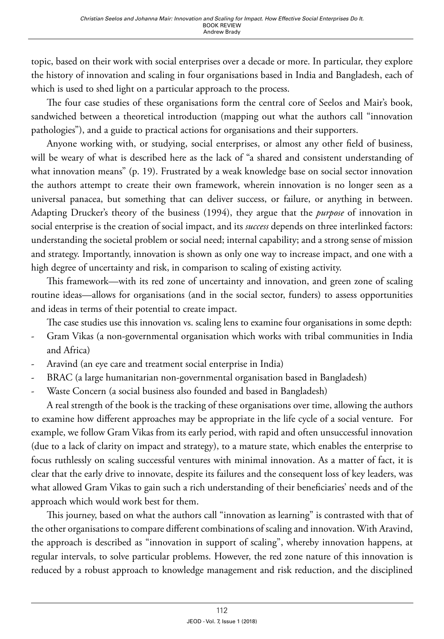topic, based on their work with social enterprises over a decade or more. In particular, they explore the history of innovation and scaling in four organisations based in India and Bangladesh, each of which is used to shed light on a particular approach to the process.

The four case studies of these organisations form the central core of Seelos and Mair's book, sandwiched between a theoretical introduction (mapping out what the authors call "innovation pathologies"), and a guide to practical actions for organisations and their supporters.

Anyone working with, or studying, social enterprises, or almost any other field of business, will be weary of what is described here as the lack of "a shared and consistent understanding of what innovation means" (p. 19). Frustrated by a weak knowledge base on social sector innovation the authors attempt to create their own framework, wherein innovation is no longer seen as a universal panacea, but something that can deliver success, or failure, or anything in between. Adapting Drucker's theory of the business (1994), they argue that the *purpose* of innovation in social enterprise is the creation of social impact, and its *success* depends on three interlinked factors: understanding the societal problem or social need; internal capability; and a strong sense of mission and strategy. Importantly, innovation is shown as only one way to increase impact, and one with a high degree of uncertainty and risk, in comparison to scaling of existing activity.

This framework—with its red zone of uncertainty and innovation, and green zone of scaling routine ideas—allows for organisations (and in the social sector, funders) to assess opportunities and ideas in terms of their potential to create impact.

The case studies use this innovation vs. scaling lens to examine four organisations in some depth:

- Gram Vikas (a non-governmental organisation which works with tribal communities in India and Africa)
- Aravind (an eye care and treatment social enterprise in India)
- BRAC (a large humanitarian non-governmental organisation based in Bangladesh)
- Waste Concern (a social business also founded and based in Bangladesh)

A real strength of the book is the tracking of these organisations over time, allowing the authors to examine how different approaches may be appropriate in the life cycle of a social venture. For example, we follow Gram Vikas from its early period, with rapid and often unsuccessful innovation (due to a lack of clarity on impact and strategy), to a mature state, which enables the enterprise to focus ruthlessly on scaling successful ventures with minimal innovation. As a matter of fact, it is clear that the early drive to innovate, despite its failures and the consequent loss of key leaders, was what allowed Gram Vikas to gain such a rich understanding of their beneficiaries' needs and of the approach which would work best for them.

This journey, based on what the authors call "innovation as learning" is contrasted with that of the other organisations to compare different combinations of scaling and innovation. With Aravind, the approach is described as "innovation in support of scaling", whereby innovation happens, at regular intervals, to solve particular problems. However, the red zone nature of this innovation is reduced by a robust approach to knowledge management and risk reduction, and the disciplined